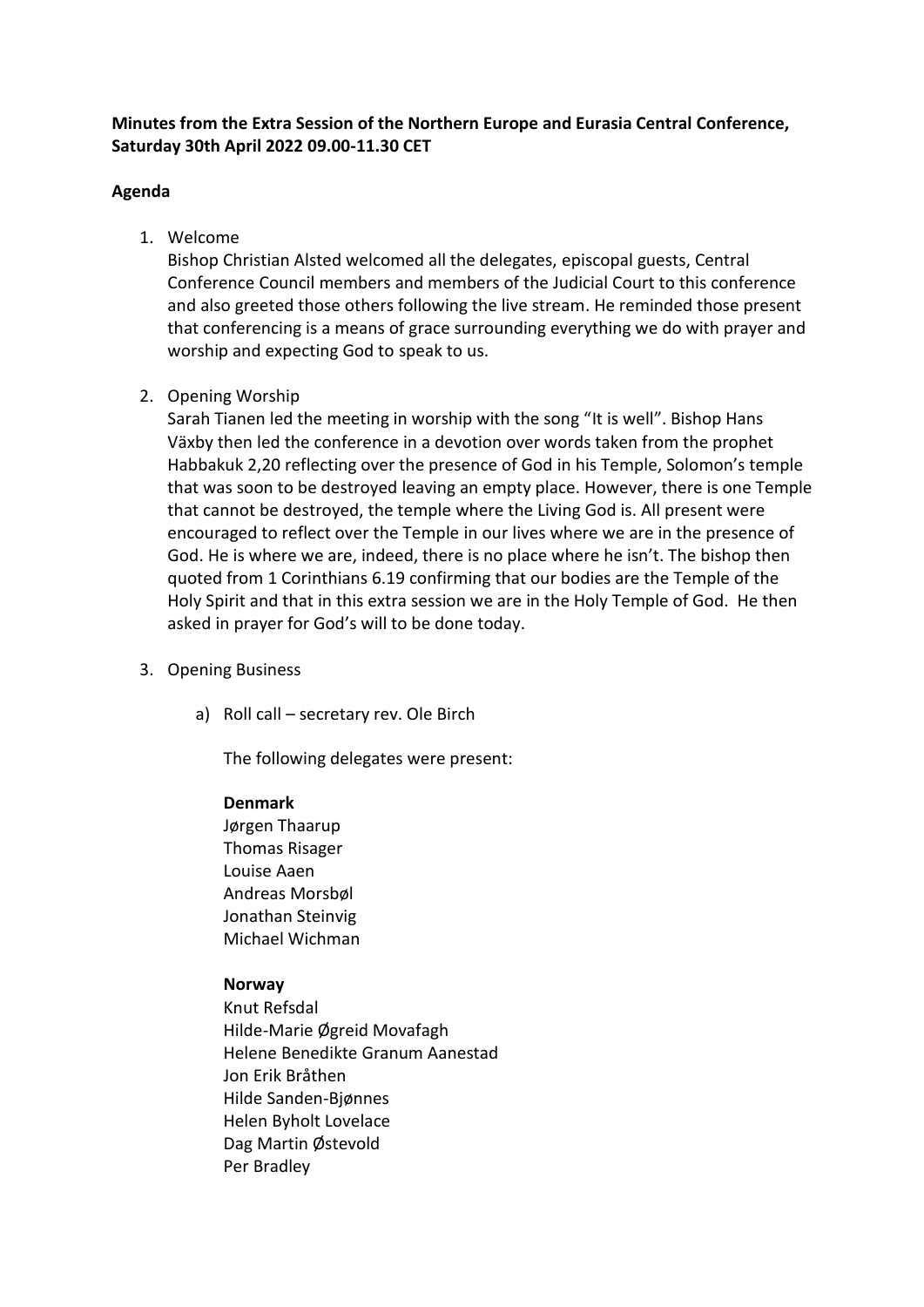# **Minutes from the Extra Session of the Northern Europe and Eurasia Central Conference, Saturday 30th April 2022 09.00-11.30 CET**

# **Agenda**

1. Welcome

Bishop Christian Alsted welcomed all the delegates, episcopal guests, Central Conference Council members and members of the Judicial Court to this conference and also greeted those others following the live stream. He reminded those present that conferencing is a means of grace surrounding everything we do with prayer and worship and expecting God to speak to us.

# 2. Opening Worship

Sarah Tianen led the meeting in worship with the song "It is well". Bishop Hans Växby then led the conference in a devotion over words taken from the prophet Habbakuk 2,20 reflecting over the presence of God in his Temple, Solomon's temple that was soon to be destroyed leaving an empty place. However, there is one Temple that cannot be destroyed, the temple where the Living God is. All present were encouraged to reflect over the Temple in our lives where we are in the presence of God. He is where we are, indeed, there is no place where he isn't. The bishop then quoted from 1 Corinthians 6.19 confirming that our bodies are the Temple of the Holy Spirit and that in this extra session we are in the Holy Temple of God. He then asked in prayer for God's will to be done today.

- 3. Opening Business
	- a) Roll call secretary rev. Ole Birch

The following delegates were present:

## **Denmark**

Jørgen Thaarup Thomas Risager Louise Aaen Andreas Morsbøl Jonathan Steinvig Michael Wichman

# **Norway**

Knut Refsdal Hilde-Marie Øgreid Movafagh Helene Benedikte Granum Aanestad Jon Erik Bråthen Hilde Sanden-Bjønnes Helen Byholt Lovelace Dag Martin Østevold Per Bradley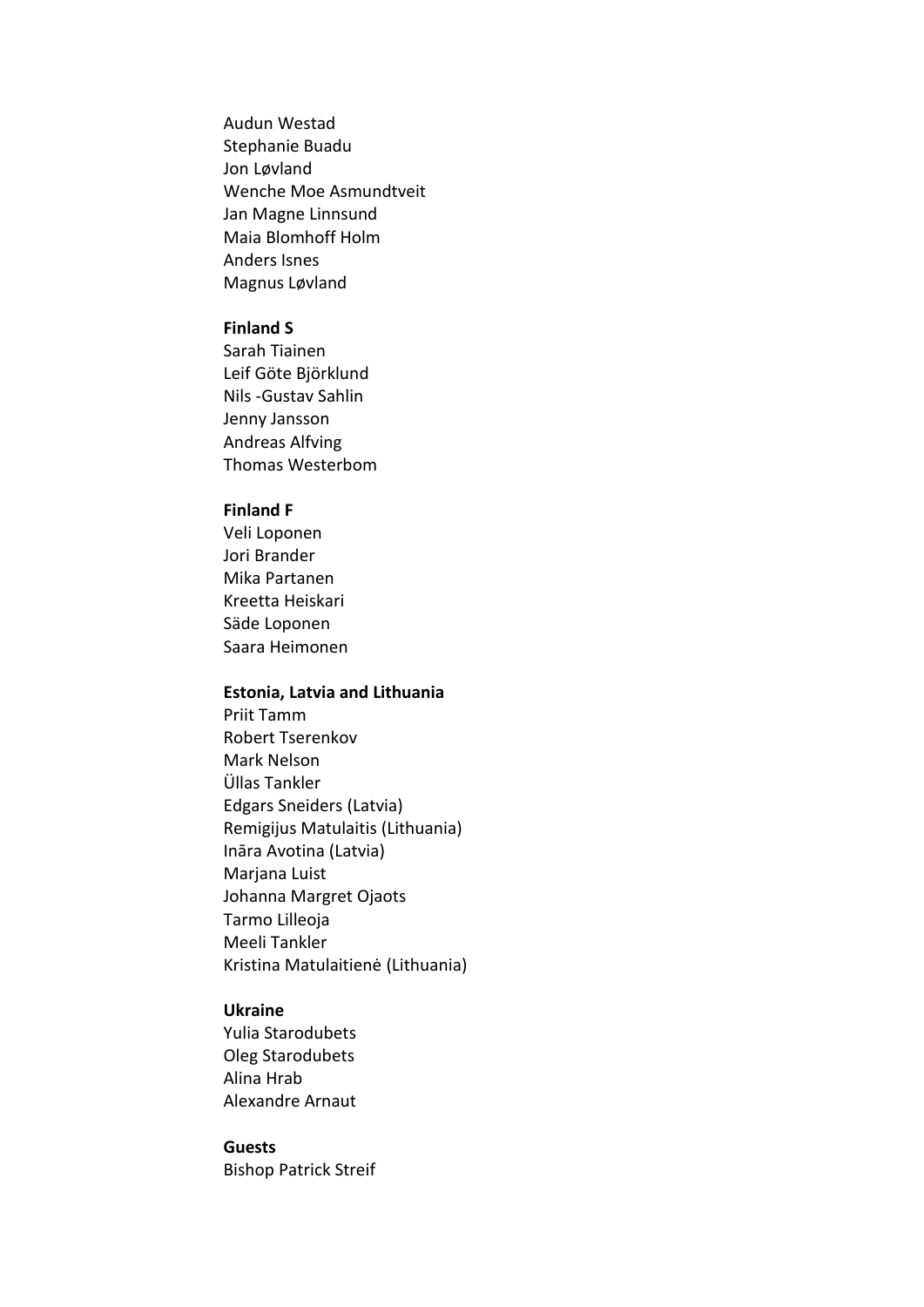Audun Westad Stephanie Buadu Jon Løvland Wenche Moe Asmundtveit Jan Magne Linnsund Maia Blomhoff Holm Anders Isnes Magnus Løvland

### **Finland S**

Sarah Tiainen Leif Göte Björklund Nils -Gustav Sahlin Jenny Jansson Andreas Alfving Thomas Westerbom

### **Finland F**

Veli Loponen Jori Brander Mika Partanen Kreetta Heiskari Säde Loponen Saara Heimonen

### **Estonia, Latvia and Lithuania**

Priit Tamm Robert Tserenkov Mark Nelson Üllas Tankler Edgars Sneiders (Latvia) Remigijus Matulaitis (Lithuania) Ināra Avotina (Latvia) Marjana Luist Johanna Margret Ojaots Tarmo Lilleoja Meeli Tankler Kristina Matulaitienė (Lithuania)

## **Ukraine**

Yulia Starodubets Oleg Starodubets Alina Hrab Alexandre Arnaut

## **Guests**

Bishop Patrick Streif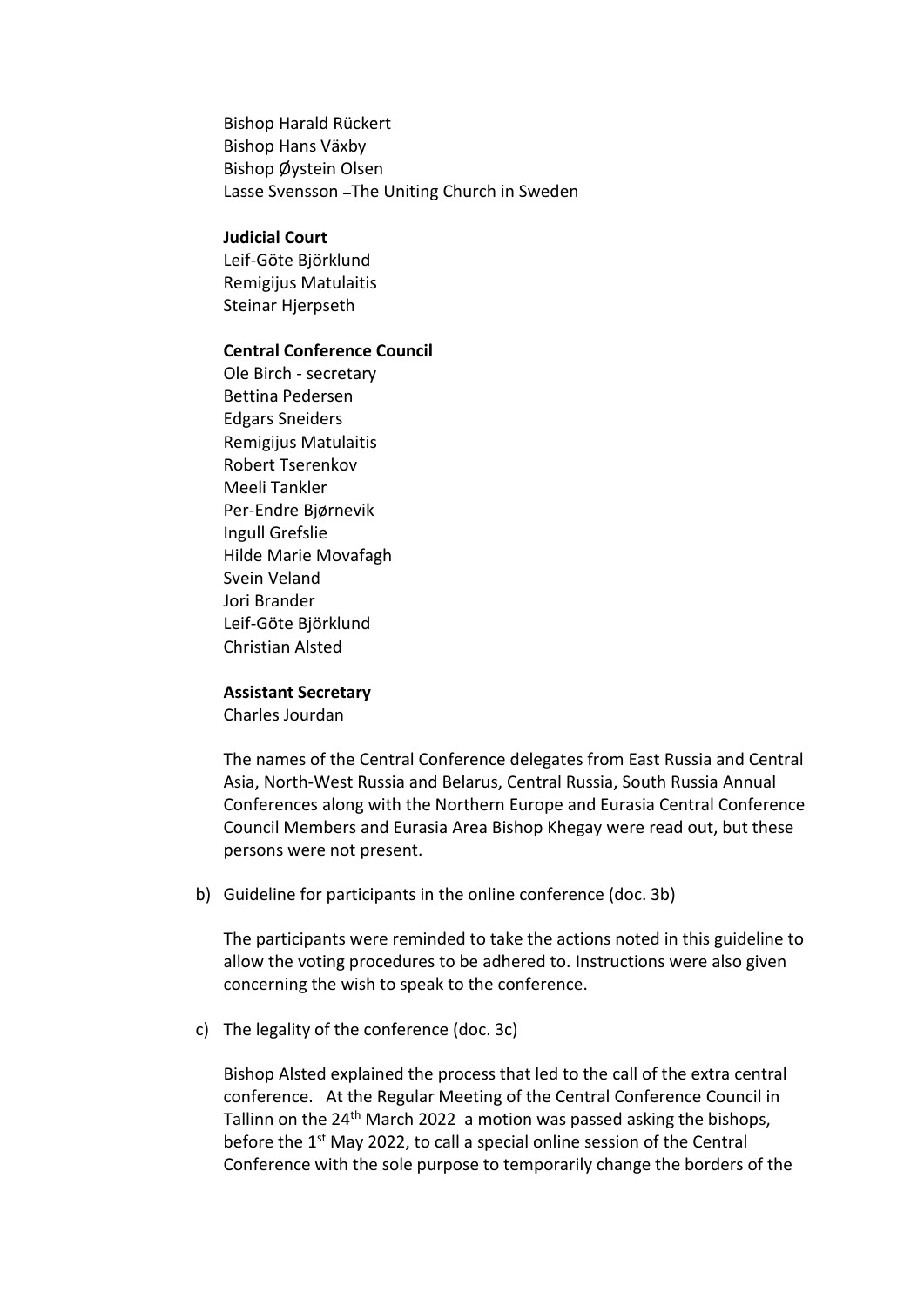Bishop Harald Rückert Bishop Hans Växby Bishop Øystein Olsen Lasse Svensson - The Uniting Church in Sweden

### **Judicial Court**

Leif-Göte Björklund Remigijus Matulaitis Steinar Hjerpseth

## **Central Conference Council**

Ole Birch - secretary Bettina Pedersen Edgars Sneiders Remigijus Matulaitis Robert Tserenkov Meeli Tankler Per-Endre Bjørnevik Ingull Grefslie Hilde Marie Movafagh Svein Veland Jori Brander Leif-Göte Björklund Christian Alsted

#### **Assistant Secretary**

Charles Jourdan

The names of the Central Conference delegates from East Russia and Central Asia, North-West Russia and Belarus, Central Russia, South Russia Annual Conferences along with the Northern Europe and Eurasia Central Conference Council Members and Eurasia Area Bishop Khegay were read out, but these persons were not present.

b) Guideline for participants in the online conference (doc. 3b)

The participants were reminded to take the actions noted in this guideline to allow the voting procedures to be adhered to. Instructions were also given concerning the wish to speak to the conference.

c) The legality of the conference (doc. 3c)

Bishop Alsted explained the process that led to the call of the extra central conference. At the Regular Meeting of the Central Conference Council in Tallinn on the 24<sup>th</sup> March 2022 a motion was passed asking the bishops, before the  $1<sup>st</sup>$  May 2022, to call a special online session of the Central Conference with the sole purpose to temporarily change the borders of the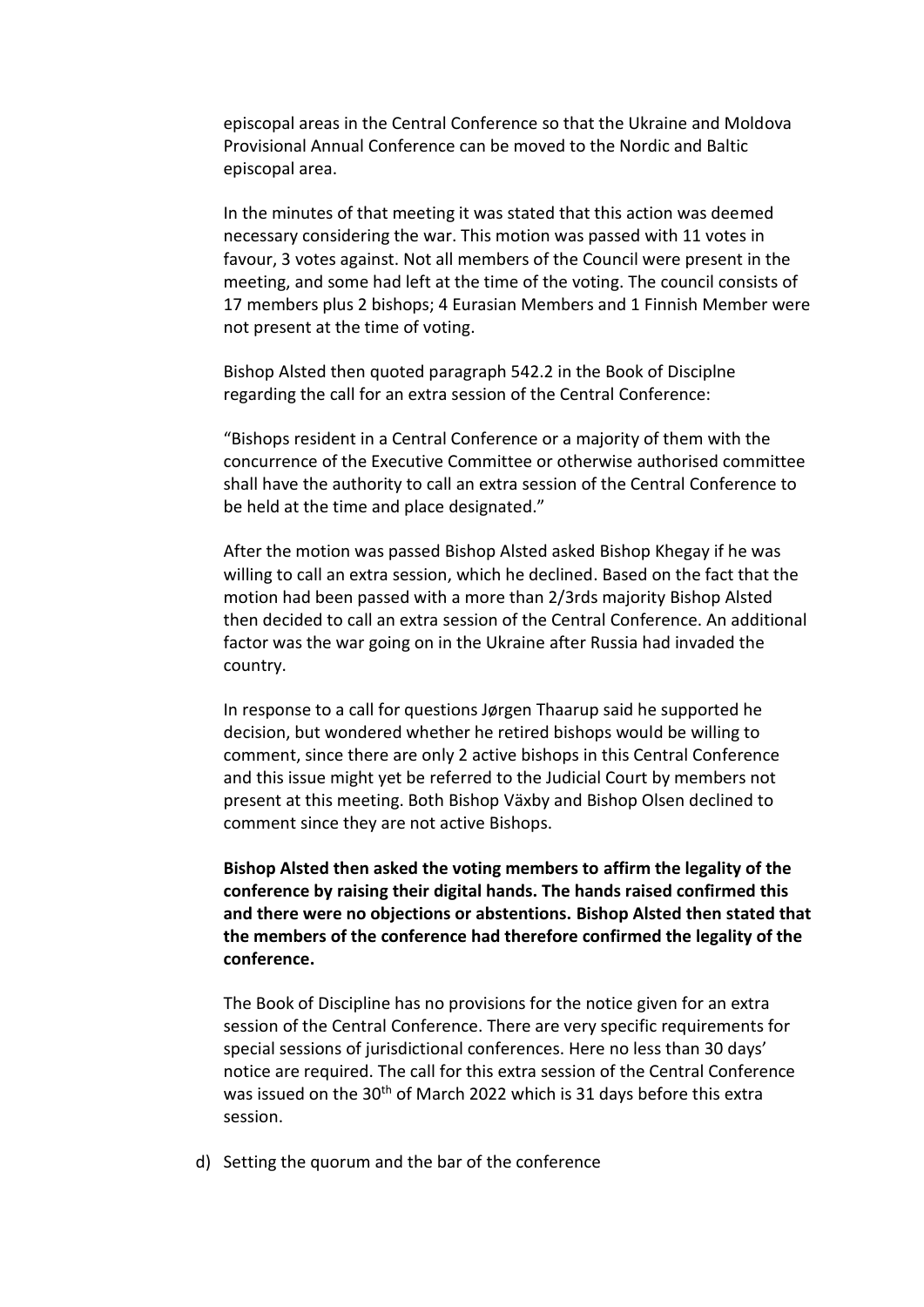episcopal areas in the Central Conference so that the Ukraine and Moldova Provisional Annual Conference can be moved to the Nordic and Baltic episcopal area.

In the minutes of that meeting it was stated that this action was deemed necessary considering the war. This motion was passed with 11 votes in favour, 3 votes against. Not all members of the Council were present in the meeting, and some had left at the time of the voting. The council consists of 17 members plus 2 bishops; 4 Eurasian Members and 1 Finnish Member were not present at the time of voting.

Bishop Alsted then quoted paragraph 542.2 in the Book of Disciplne regarding the call for an extra session of the Central Conference:

"Bishops resident in a Central Conference or a majority of them with the concurrence of the Executive Committee or otherwise authorised committee shall have the authority to call an extra session of the Central Conference to be held at the time and place designated."

After the motion was passed Bishop Alsted asked Bishop Khegay if he was willing to call an extra session, which he declined. Based on the fact that the motion had been passed with a more than 2/3rds majority Bishop Alsted then decided to call an extra session of the Central Conference. An additional factor was the war going on in the Ukraine after Russia had invaded the country.

In response to a call for questions Jørgen Thaarup said he supported he decision, but wondered whether he retired bishops would be willing to comment, since there are only 2 active bishops in this Central Conference and this issue might yet be referred to the Judicial Court by members not present at this meeting. Both Bishop Växby and Bishop Olsen declined to comment since they are not active Bishops.

**Bishop Alsted then asked the voting members to affirm the legality of the conference by raising their digital hands. The hands raised confirmed this and there were no objections or abstentions. Bishop Alsted then stated that the members of the conference had therefore confirmed the legality of the conference.**

The Book of Discipline has no provisions for the notice given for an extra session of the Central Conference. There are very specific requirements for special sessions of jurisdictional conferences. Here no less than 30 days' notice are required. The call for this extra session of the Central Conference was issued on the 30<sup>th</sup> of March 2022 which is 31 days before this extra session.

d) Setting the quorum and the bar of the conference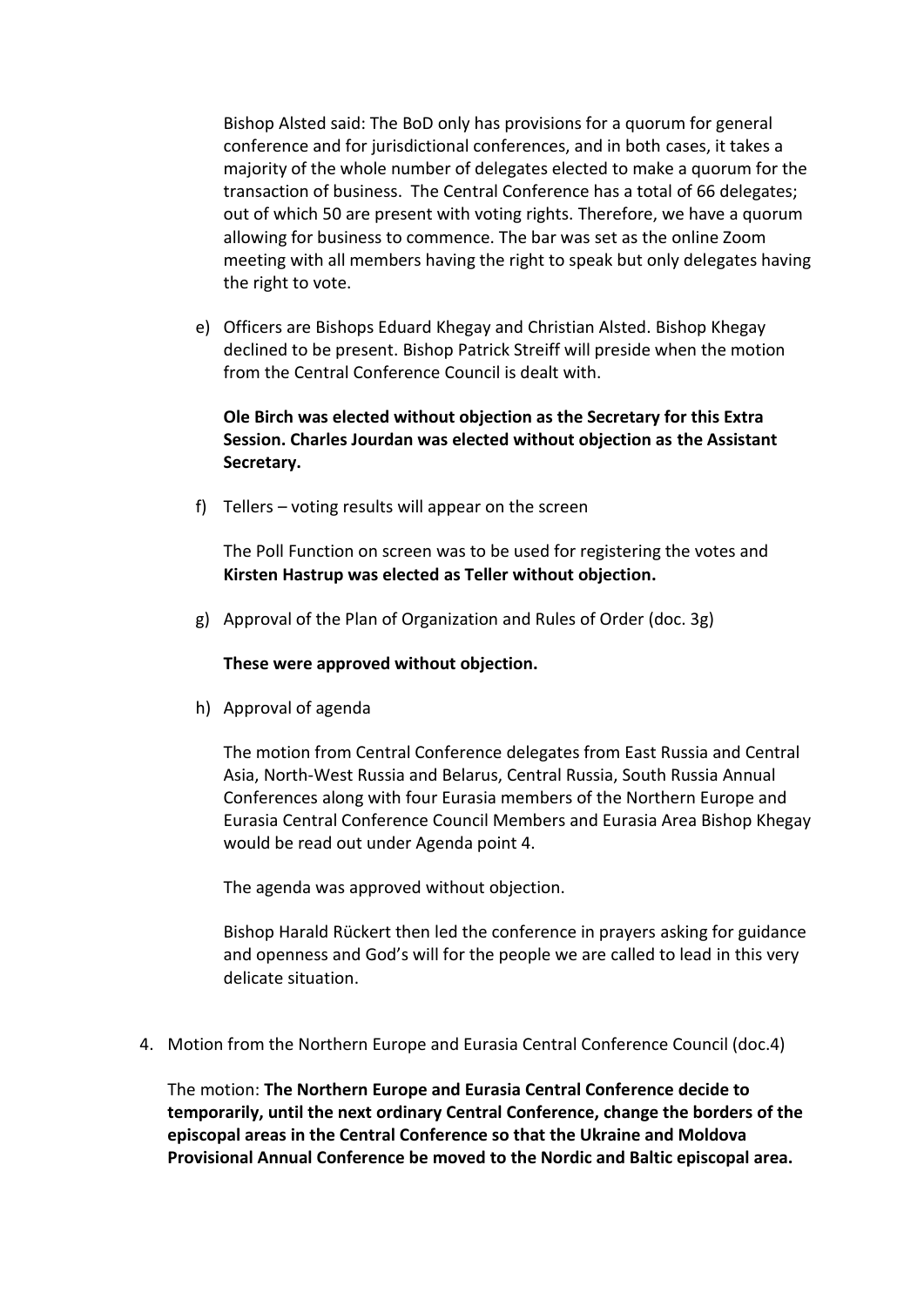Bishop Alsted said: The BoD only has provisions for a quorum for general conference and for jurisdictional conferences, and in both cases, it takes a majority of the whole number of delegates elected to make a quorum for the transaction of business. The Central Conference has a total of 66 delegates; out of which 50 are present with voting rights. Therefore, we have a quorum allowing for business to commence. The bar was set as the online Zoom meeting with all members having the right to speak but only delegates having the right to vote.

e) Officers are Bishops Eduard Khegay and Christian Alsted. Bishop Khegay declined to be present. Bishop Patrick Streiff will preside when the motion from the Central Conference Council is dealt with.

# **Ole Birch was elected without objection as the Secretary for this Extra Session. Charles Jourdan was elected without objection as the Assistant Secretary.**

f) Tellers – voting results will appear on the screen

The Poll Function on screen was to be used for registering the votes and **Kirsten Hastrup was elected as Teller without objection.**

g) Approval of the Plan of Organization and Rules of Order (doc. 3g)

### **These were approved without objection.**

h) Approval of agenda

The motion from Central Conference delegates from East Russia and Central Asia, North-West Russia and Belarus, Central Russia, South Russia Annual Conferences along with four Eurasia members of the Northern Europe and Eurasia Central Conference Council Members and Eurasia Area Bishop Khegay would be read out under Agenda point 4.

The agenda was approved without objection.

Bishop Harald Rückert then led the conference in prayers asking for guidance and openness and God's will for the people we are called to lead in this very delicate situation.

4. Motion from the Northern Europe and Eurasia Central Conference Council (doc.4)

The motion: **The Northern Europe and Eurasia Central Conference decide to temporarily, until the next ordinary Central Conference, change the borders of the episcopal areas in the Central Conference so that the Ukraine and Moldova Provisional Annual Conference be moved to the Nordic and Baltic episcopal area.**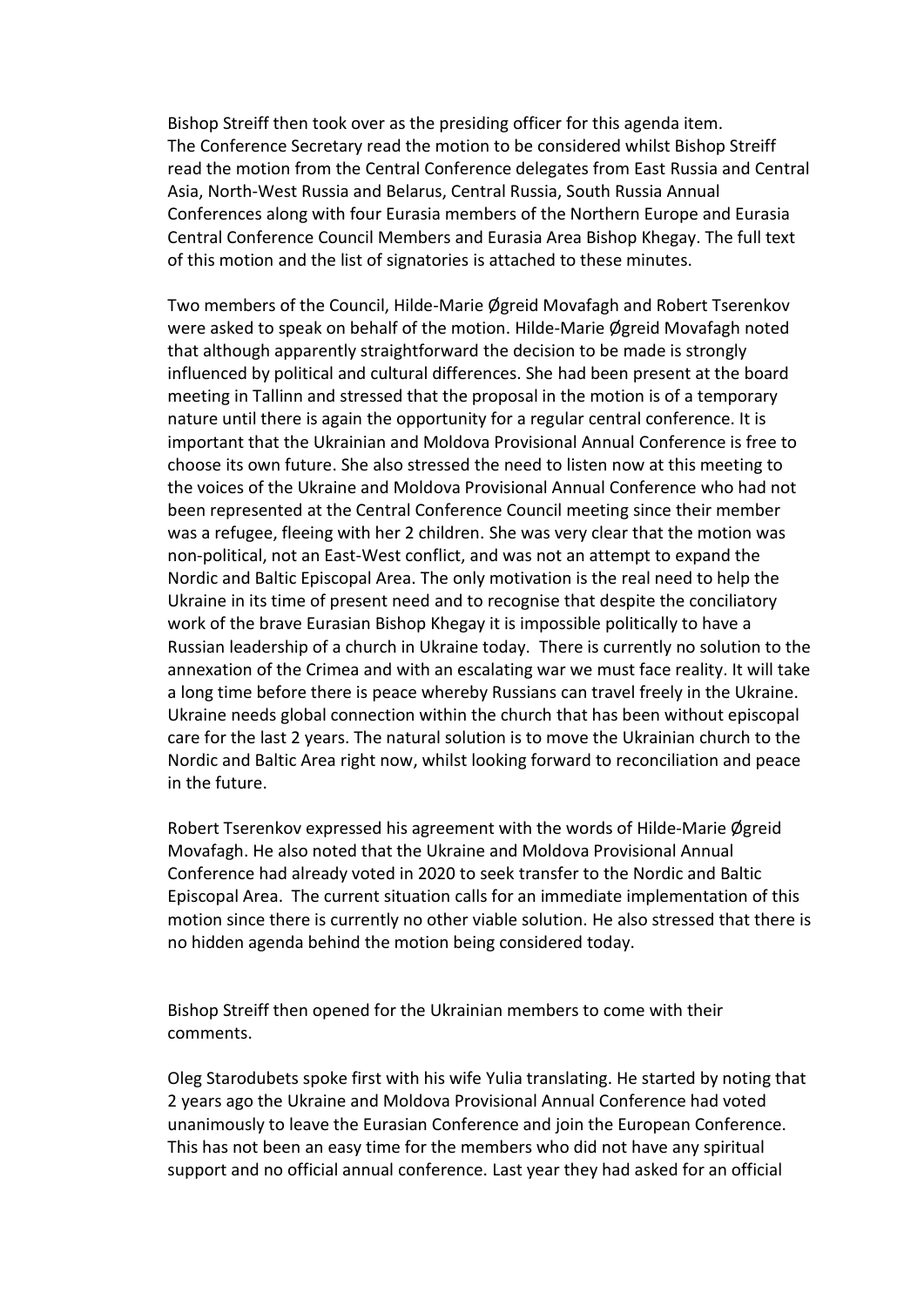Bishop Streiff then took over as the presiding officer for this agenda item. The Conference Secretary read the motion to be considered whilst Bishop Streiff read the motion from the Central Conference delegates from East Russia and Central Asia, North-West Russia and Belarus, Central Russia, South Russia Annual Conferences along with four Eurasia members of the Northern Europe and Eurasia Central Conference Council Members and Eurasia Area Bishop Khegay. The full text of this motion and the list of signatories is attached to these minutes.

Two members of the Council, Hilde-Marie Øgreid Movafagh and Robert Tserenkov were asked to speak on behalf of the motion. Hilde-Marie Øgreid Movafagh noted that although apparently straightforward the decision to be made is strongly influenced by political and cultural differences. She had been present at the board meeting in Tallinn and stressed that the proposal in the motion is of a temporary nature until there is again the opportunity for a regular central conference. It is important that the Ukrainian and Moldova Provisional Annual Conference is free to choose its own future. She also stressed the need to listen now at this meeting to the voices of the Ukraine and Moldova Provisional Annual Conference who had not been represented at the Central Conference Council meeting since their member was a refugee, fleeing with her 2 children. She was very clear that the motion was non-political, not an East-West conflict, and was not an attempt to expand the Nordic and Baltic Episcopal Area. The only motivation is the real need to help the Ukraine in its time of present need and to recognise that despite the conciliatory work of the brave Eurasian Bishop Khegay it is impossible politically to have a Russian leadership of a church in Ukraine today. There is currently no solution to the annexation of the Crimea and with an escalating war we must face reality. It will take a long time before there is peace whereby Russians can travel freely in the Ukraine. Ukraine needs global connection within the church that has been without episcopal care for the last 2 years. The natural solution is to move the Ukrainian church to the Nordic and Baltic Area right now, whilst looking forward to reconciliation and peace in the future.

Robert Tserenkov expressed his agreement with the words of Hilde-Marie Øgreid Movafagh. He also noted that the Ukraine and Moldova Provisional Annual Conference had already voted in 2020 to seek transfer to the Nordic and Baltic Episcopal Area. The current situation calls for an immediate implementation of this motion since there is currently no other viable solution. He also stressed that there is no hidden agenda behind the motion being considered today.

Bishop Streiff then opened for the Ukrainian members to come with their comments.

Oleg Starodubets spoke first with his wife Yulia translating. He started by noting that 2 years ago the Ukraine and Moldova Provisional Annual Conference had voted unanimously to leave the Eurasian Conference and join the European Conference. This has not been an easy time for the members who did not have any spiritual support and no official annual conference. Last year they had asked for an official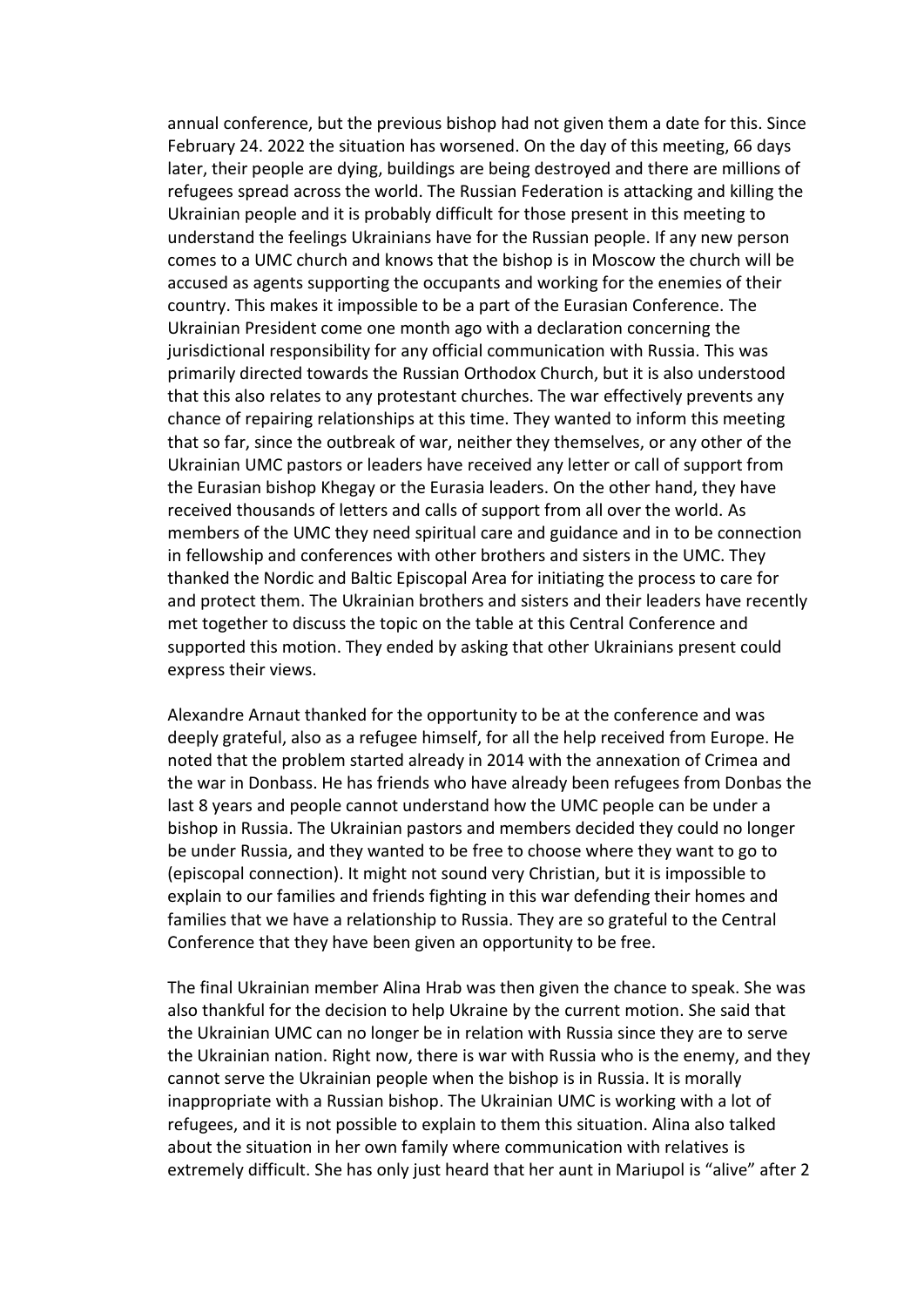annual conference, but the previous bishop had not given them a date for this. Since February 24. 2022 the situation has worsened. On the day of this meeting, 66 days later, their people are dying, buildings are being destroyed and there are millions of refugees spread across the world. The Russian Federation is attacking and killing the Ukrainian people and it is probably difficult for those present in this meeting to understand the feelings Ukrainians have for the Russian people. If any new person comes to a UMC church and knows that the bishop is in Moscow the church will be accused as agents supporting the occupants and working for the enemies of their country. This makes it impossible to be a part of the Eurasian Conference. The Ukrainian President come one month ago with a declaration concerning the jurisdictional responsibility for any official communication with Russia. This was primarily directed towards the Russian Orthodox Church, but it is also understood that this also relates to any protestant churches. The war effectively prevents any chance of repairing relationships at this time. They wanted to inform this meeting that so far, since the outbreak of war, neither they themselves, or any other of the Ukrainian UMC pastors or leaders have received any letter or call of support from the Eurasian bishop Khegay or the Eurasia leaders. On the other hand, they have received thousands of letters and calls of support from all over the world. As members of the UMC they need spiritual care and guidance and in to be connection in fellowship and conferences with other brothers and sisters in the UMC. They thanked the Nordic and Baltic Episcopal Area for initiating the process to care for and protect them. The Ukrainian brothers and sisters and their leaders have recently met together to discuss the topic on the table at this Central Conference and supported this motion. They ended by asking that other Ukrainians present could express their views.

Alexandre Arnaut thanked for the opportunity to be at the conference and was deeply grateful, also as a refugee himself, for all the help received from Europe. He noted that the problem started already in 2014 with the annexation of Crimea and the war in Donbass. He has friends who have already been refugees from Donbas the last 8 years and people cannot understand how the UMC people can be under a bishop in Russia. The Ukrainian pastors and members decided they could no longer be under Russia, and they wanted to be free to choose where they want to go to (episcopal connection). It might not sound very Christian, but it is impossible to explain to our families and friends fighting in this war defending their homes and families that we have a relationship to Russia. They are so grateful to the Central Conference that they have been given an opportunity to be free.

The final Ukrainian member Alina Hrab was then given the chance to speak. She was also thankful for the decision to help Ukraine by the current motion. She said that the Ukrainian UMC can no longer be in relation with Russia since they are to serve the Ukrainian nation. Right now, there is war with Russia who is the enemy, and they cannot serve the Ukrainian people when the bishop is in Russia. It is morally inappropriate with a Russian bishop. The Ukrainian UMC is working with a lot of refugees, and it is not possible to explain to them this situation. Alina also talked about the situation in her own family where communication with relatives is extremely difficult. She has only just heard that her aunt in Mariupol is "alive" after 2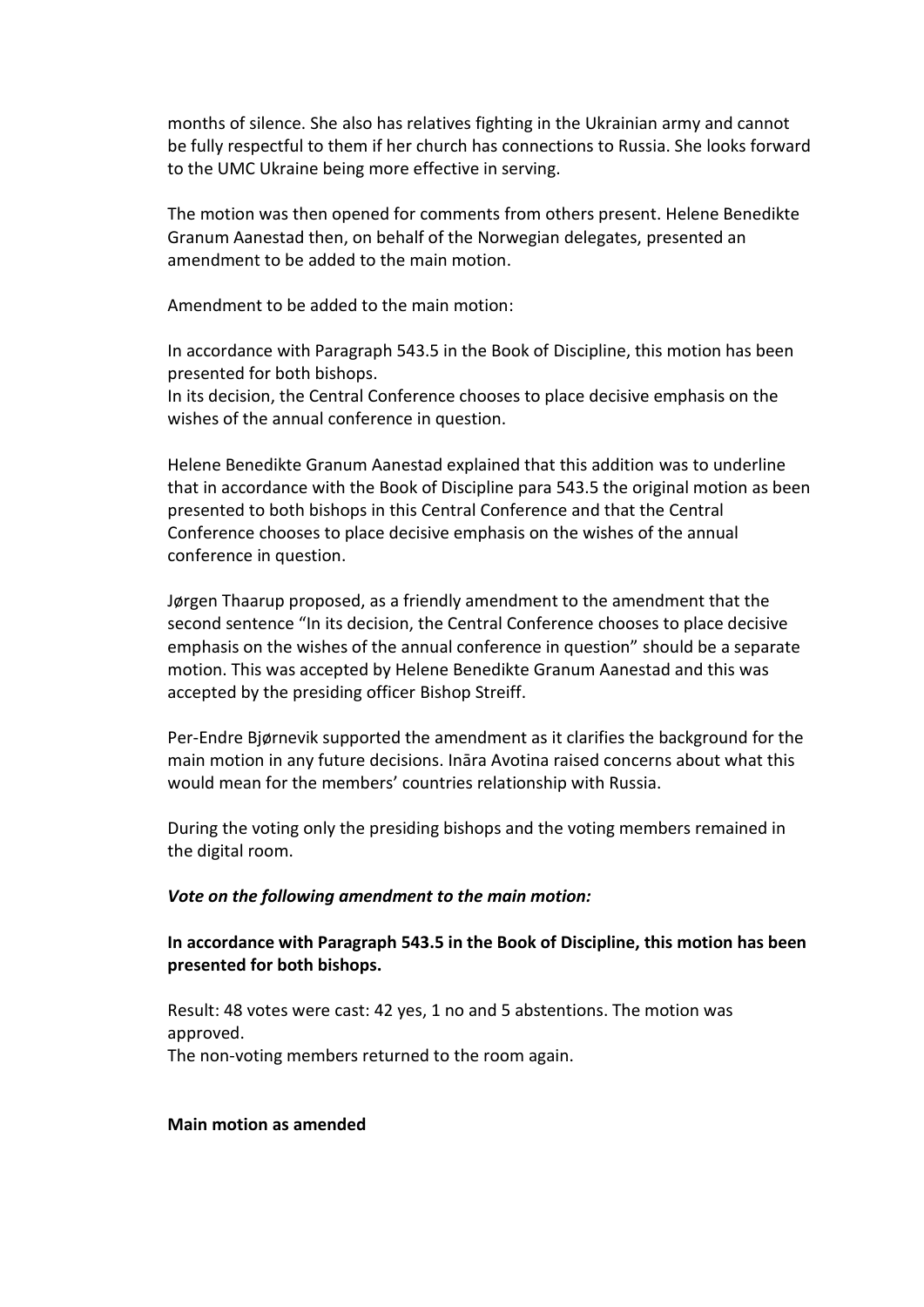months of silence. She also has relatives fighting in the Ukrainian army and cannot be fully respectful to them if her church has connections to Russia. She looks forward to the UMC Ukraine being more effective in serving.

The motion was then opened for comments from others present. Helene Benedikte Granum Aanestad then, on behalf of the Norwegian delegates, presented an amendment to be added to the main motion.

Amendment to be added to the main motion:

In accordance with Paragraph 543.5 in the Book of Discipline, this motion has been presented for both bishops.

In its decision, the Central Conference chooses to place decisive emphasis on the wishes of the annual conference in question.

Helene Benedikte Granum Aanestad explained that this addition was to underline that in accordance with the Book of Discipline para 543.5 the original motion as been presented to both bishops in this Central Conference and that the Central Conference chooses to place decisive emphasis on the wishes of the annual conference in question.

Jørgen Thaarup proposed, as a friendly amendment to the amendment that the second sentence "In its decision, the Central Conference chooses to place decisive emphasis on the wishes of the annual conference in question" should be a separate motion. This was accepted by Helene Benedikte Granum Aanestad and this was accepted by the presiding officer Bishop Streiff.

Per-Endre Bjørnevik supported the amendment as it clarifies the background for the main motion in any future decisions. Ināra Avotina raised concerns about what this would mean for the members' countries relationship with Russia.

During the voting only the presiding bishops and the voting members remained in the digital room.

### *Vote on the following amendment to the main motion:*

## **In accordance with Paragraph 543.5 in the Book of Discipline, this motion has been presented for both bishops.**

Result: 48 votes were cast: 42 yes, 1 no and 5 abstentions. The motion was approved. The non-voting members returned to the room again.

### **Main motion as amended**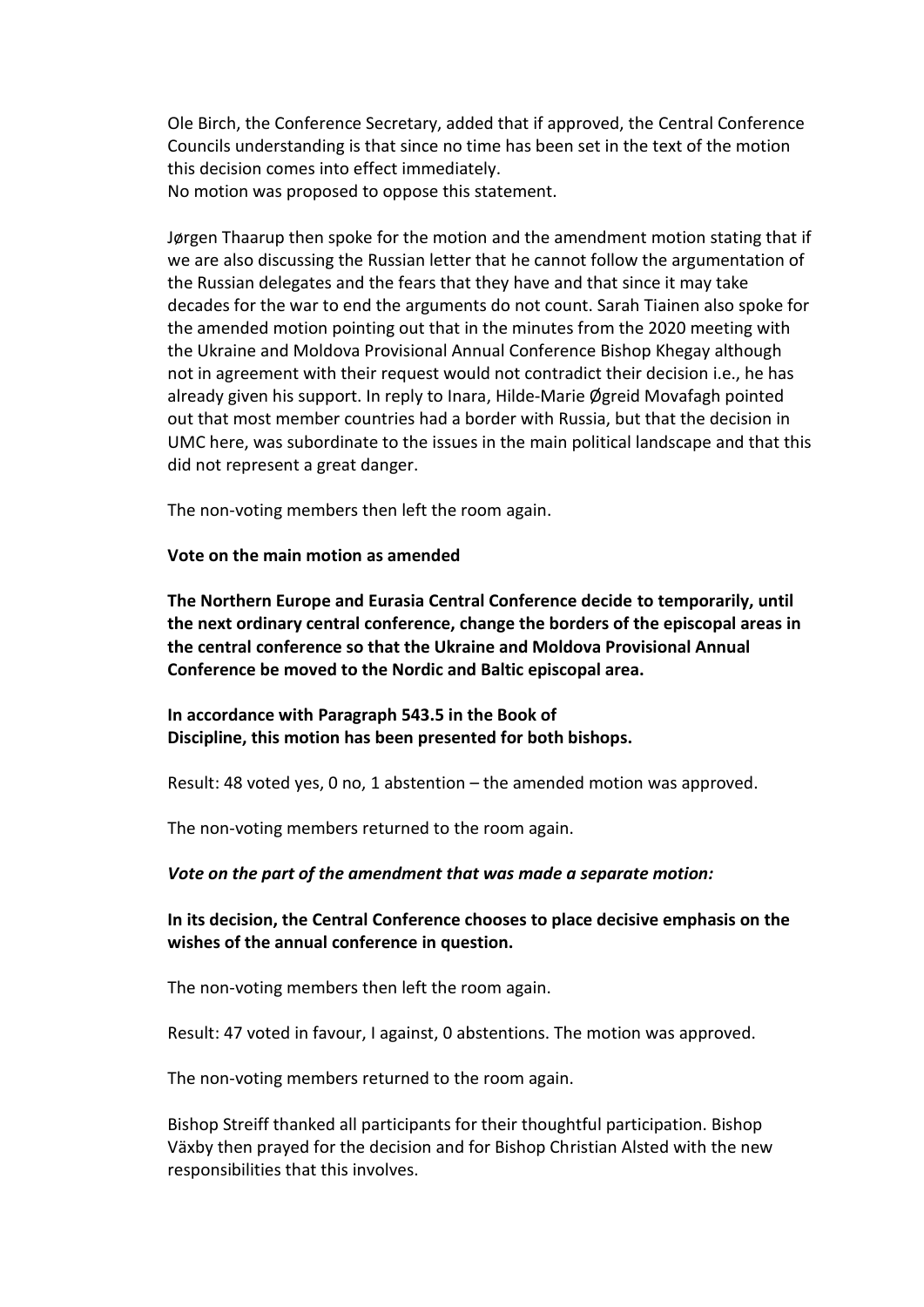Ole Birch, the Conference Secretary, added that if approved, the Central Conference Councils understanding is that since no time has been set in the text of the motion this decision comes into effect immediately. No motion was proposed to oppose this statement.

Jørgen Thaarup then spoke for the motion and the amendment motion stating that if we are also discussing the Russian letter that he cannot follow the argumentation of the Russian delegates and the fears that they have and that since it may take decades for the war to end the arguments do not count. Sarah Tiainen also spoke for the amended motion pointing out that in the minutes from the 2020 meeting with the Ukraine and Moldova Provisional Annual Conference Bishop Khegay although not in agreement with their request would not contradict their decision i.e., he has already given his support. In reply to Inara, Hilde-Marie Øgreid Movafagh pointed out that most member countries had a border with Russia, but that the decision in UMC here, was subordinate to the issues in the main political landscape and that this did not represent a great danger.

The non-voting members then left the room again.

**Vote on the main motion as amended** 

**The Northern Europe and Eurasia Central Conference decide to temporarily, until the next ordinary central conference, change the borders of the episcopal areas in the central conference so that the Ukraine and Moldova Provisional Annual Conference be moved to the Nordic and Baltic episcopal area.**

**In accordance with Paragraph 543.5 in the Book of Discipline, this motion has been presented for both bishops.**

Result: 48 voted yes, 0 no, 1 abstention – the amended motion was approved.

The non-voting members returned to the room again.

### *Vote on the part of the amendment that was made a separate motion:*

# **In its decision, the Central Conference chooses to place decisive emphasis on the wishes of the annual conference in question.**

The non-voting members then left the room again.

Result: 47 voted in favour, I against, 0 abstentions. The motion was approved.

The non-voting members returned to the room again.

Bishop Streiff thanked all participants for their thoughtful participation. Bishop Växby then prayed for the decision and for Bishop Christian Alsted with the new responsibilities that this involves.